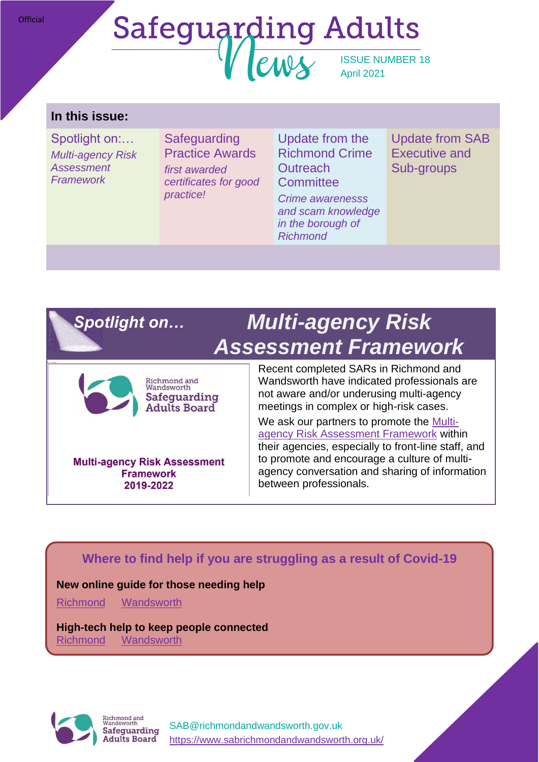#### **Official**

# **Safeguarding Adults**  $PALV$ ISSUE NUMBER 18 April 2021

## **In this issue:**

Spotlight on:… *Multi-agency Risk Assessment Framework*

**Safeguarding** Practice Awards *first awarded certificates for good practice!*

Update from the Richmond Crime **Outreach Committee** 

Update from SAB Executive and Sub-groups

*Crime awarenesss and scam knowledge in the borough of Richmond*

# *Spotlight on…*



**Multi-agency Risk Assessment Framework** 2019-2022

# *Multi-agency Risk Assessment Framework*

Recent completed SARs in Richmond and Wandsworth have indicated professionals are not aware and/or underusing multi-agency meetings in complex or high-risk cases.

We ask our partners to promote the [Multi](https://www.sabrichmondandwandsworth.org.uk/media/1355/multi_agency_risk_assessment_framework.pdf)[agency Risk Assessment Framework](https://www.sabrichmondandwandsworth.org.uk/media/1355/multi_agency_risk_assessment_framework.pdf) within their agencies, especially to front-line staff, and to promote and encourage a culture of multiagency conversation and sharing of information between professionals.

**Where to find help if you are struggling as a result of Covid-19**

## **New online guide for those needing help**

[Richmond](https://www.richmond.gov.uk/i_need_help) [Wandsworth](https://www.wandsworth.gov.uk/health-and-social-care/public-health/coronavirus/where-can-i-find-help-or-support/)

**High-tech help to keep people connected** [Richmond](https://www.richmond.gov.uk/council/news/press_office/older_news/press_releases_november_2020/care_technology_helping_vulnerable_residents) [Wandsworth](https://www.wandsworth.gov.uk/news/news-nov-2020/high-tech-help-to-keep-people-connected/)



[SAB@richmondandwandsworth.gov.uk](mailto:SAB@richmondandwandsworth.gov.uk) <https://www.sabrichmondandwandsworth.org.uk/>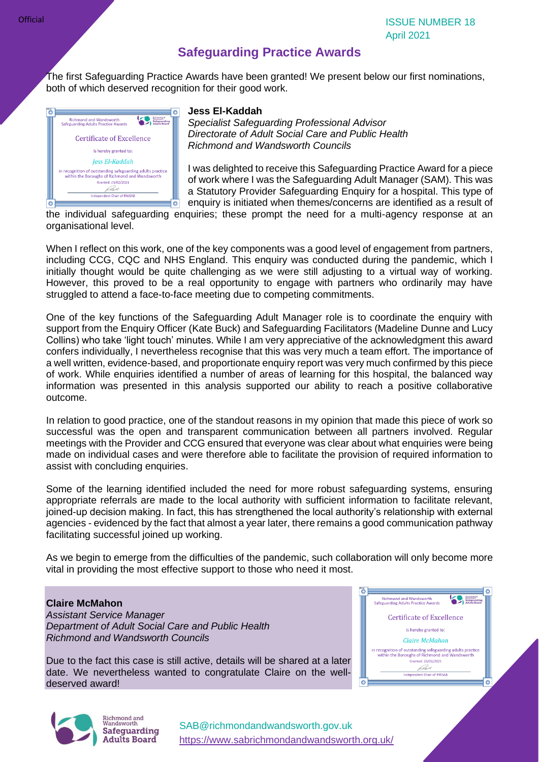ISSUE NUMBER 18 April 2021

## **Safeguarding Practice Awards**

The first Safeguarding Practice Awards have been granted! We present below our first nominations, both of which deserved recognition for their good work.



#### **Jess El-Kaddah**

*Specialist Safeguarding Professional Advisor Directorate of Adult Social Care and Public Health Richmond and Wandsworth Councils*

I was delighted to receive this Safeguarding Practice Award for a piece of work where I was the Safeguarding Adult Manager (SAM). This was a Statutory Provider Safeguarding Enquiry for a hospital. This type of enquiry is initiated when themes/concerns are identified as a result of

the individual safeguarding enquiries; these prompt the need for a multi-agency response at an organisational level.

When I reflect on this work, one of the key components was a good level of engagement from partners, including CCG, CQC and NHS England. This enquiry was conducted during the pandemic, which I initially thought would be quite challenging as we were still adjusting to a virtual way of working. However, this proved to be a real opportunity to engage with partners who ordinarily may have struggled to attend a face-to-face meeting due to competing commitments.

One of the key functions of the Safeguarding Adult Manager role is to coordinate the enquiry with support from the Enquiry Officer (Kate Buck) and Safeguarding Facilitators (Madeline Dunne and Lucy Collins) who take 'light touch' minutes. While I am very appreciative of the acknowledgment this award confers individually, I nevertheless recognise that this was very much a team effort. The importance of a well written, evidence-based, and proportionate enquiry report was very much confirmed by this piece of work. While enquiries identified a number of areas of learning for this hospital, the balanced way information was presented in this analysis supported our ability to reach a positive collaborative outcome.

In relation to good practice, one of the standout reasons in my opinion that made this piece of work so successful was the open and transparent communication between all partners involved. Regular meetings with the Provider and CCG ensured that everyone was clear about what enquiries were being made on individual cases and were therefore able to facilitate the provision of required information to assist with concluding enquiries.

Some of the learning identified included the need for more robust safeguarding systems, ensuring appropriate referrals are made to the local authority with sufficient information to facilitate relevant, joined-up decision making. In fact, this has strengthened the local authority's relationship with external agencies - evidenced by the fact that almost a year later, there remains a good communication pathway facilitating successful joined up working.

As we begin to emerge from the difficulties of the pandemic, such collaboration will only become more vital in providing the most effective support to those who need it most.

#### **Claire McMahon**

*Assistant Service Manager Department of Adult Social Care and Public Health Richmond and Wandsworth Councils*

Due to the fact this case is still active, details will be shared at a later date. We nevertheless wanted to congratulate Claire on the welldeserved award!





[SAB@richmondandwandsworth.gov.uk](mailto:SAB@richmondandwandsworth.gov.uk) <https://www.sabrichmondandwandsworth.org.uk/>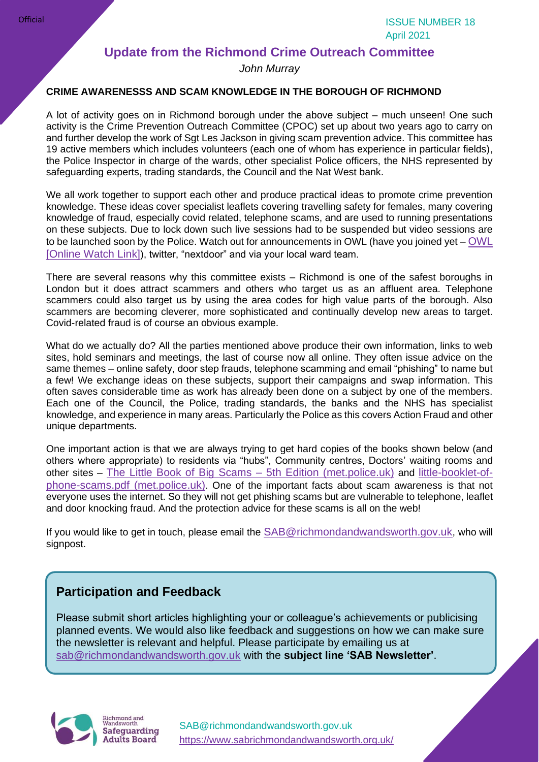## **Update from the Richmond Crime Outreach Committee**

*John Murray*

#### **CRIME AWARENESSS AND SCAM KNOWLEDGE IN THE BOROUGH OF RICHMOND**

A lot of activity goes on in Richmond borough under the above subject – much unseen! One such activity is the Crime Prevention Outreach Committee (CPOC) set up about two years ago to carry on and further develop the work of Sgt Les Jackson in giving scam prevention advice. This committee has 19 active members which includes volunteers (each one of whom has experience in particular fields), the Police Inspector in charge of the wards, other specialist Police officers, the NHS represented by safeguarding experts, trading standards, the Council and the Nat West bank.

We all work together to support each other and produce practical ideas to promote crime prevention knowledge. These ideas cover specialist leaflets covering travelling safety for females, many covering knowledge of fraud, especially covid related, telephone scams, and are used to running presentations on these subjects. Due to lock down such live sessions had to be suspended but video sessions are to be launched soon by the Police. Watch out for announcements in OWL (have you joined yet – [OWL](https://www.owl.co.uk/index.htm)  [\[Online Watch Link\]](https://www.owl.co.uk/index.htm)), twitter, "nextdoor" and via your local ward team.

There are several reasons why this committee exists – Richmond is one of the safest boroughs in London but it does attract scammers and others who target us as an affluent area. Telephone scammers could also target us by using the area codes for high value parts of the borough. Also scammers are becoming cleverer, more sophisticated and continually develop new areas to target. Covid-related fraud is of course an obvious example.

What do we actually do? All the parties mentioned above produce their own information, links to web sites, hold seminars and meetings, the last of course now all online. They often issue advice on the same themes – online safety, door step frauds, telephone scamming and email "phishing" to name but a few! We exchange ideas on these subjects, support their campaigns and swap information. This often saves considerable time as work has already been done on a subject by one of the members. Each one of the Council, the Police, trading standards, the banks and the NHS has specialist knowledge, and experience in many areas. Particularly the Police as this covers Action Fraud and other unique departments.

One important action is that we are always trying to get hard copies of the books shown below (and others where appropriate) to residents via "hubs", Community centres, Doctors' waiting rooms and other sites – [The Little Book of Big Scams –](https://www.met.police.uk/SysSiteAssets/media/downloads/central/advice/fraud/met/the-little-book-of-big-scams.pdf) 5th Edition (met.police.uk) and [little-booklet-of](https://www.met.police.uk/SysSiteAssets/media/downloads/central/advice/fraud/met/little-booklet-of-phone-scams.pdf)[phone-scams.pdf \(met.police.uk\)](https://www.met.police.uk/SysSiteAssets/media/downloads/central/advice/fraud/met/little-booklet-of-phone-scams.pdf). One of the important facts about scam awareness is that not everyone uses the internet. So they will not get phishing scams but are vulnerable to telephone, leaflet and door knocking fraud. And the protection advice for these scams is all on the web!

If you would like to get in touch, please email the [SAB@richmondandwandsworth.gov.uk](mailto:SAB@richmondandwandsworth.gov.uk), who will signpost.

## **Participation and Feedback**

Please submit short articles highlighting your or colleague's achievements or publicising planned events. We would also like feedback and suggestions on how we can make sure the newsletter is relevant and helpful. Please participate by emailing us at [sab@richmondandwandsworth.gov.uk](mailto:sab@richmondandwandsworth.gov.uk) with the **subject line 'SAB Newsletter'**.